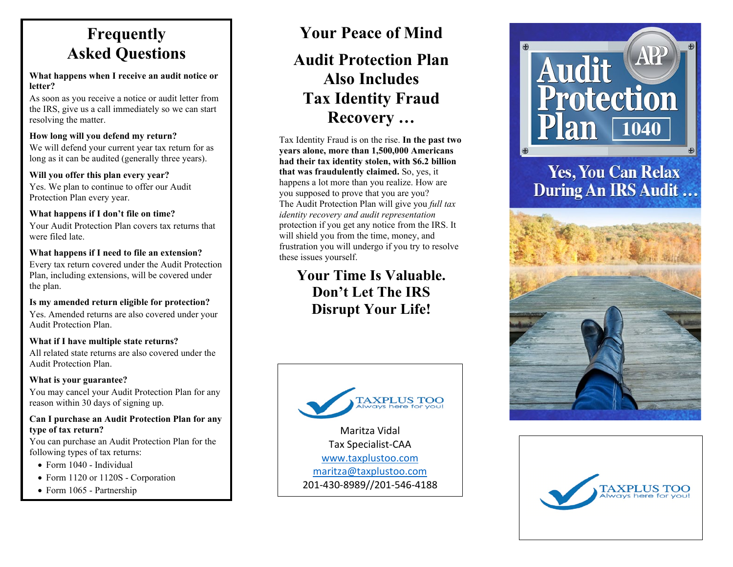### **Frequently Asked Questions**

#### **What happens when I receive an audit notice or letter?**

As soon as you receive a notice or audit letter from the IRS, give us a call immediately so we can start resolving the matter.

#### **How long will you defend my return?**

We will defend your current year tax return for as long as it can be audited (generally three years).

#### **Will you offer this plan every year?**

Yes. We plan to continue to offer our Audit Protection Plan every year.

#### **What happens if I don't file on time?**

Your Audit Protection Plan covers tax returns that were filed late.

#### **What happens if I need to file an extension?**

Every tax return covered under the Audit Protection Plan, including extensions, will be covered under the plan.

### **Is my amended return eligible for protection?**

Yes. Amended returns are also covered under your Audit Protection Plan.

#### **What if I have multiple state returns?**

All related state returns are also covered under the Audit Protection Plan.

#### **What is your guarantee?**

You may cancel your Audit Protection Plan for any reason within 30 days of signing up.

#### **Can I purchase an Audit Protection Plan for any type of tax return?**

You can purchase an Audit Protection Plan for the following types of tax returns:

- Form 1040 Individual
- Form 1120 or 1120S Corporation
- Form 1065 Partnership

# **Your Peace of Mind**

### **Audit Protection Plan Also Includes Tax Identity Fraud Recovery …**

Tax Identity Fraud is on the rise. **In the past two years alone, more than 1,500,000 Americans had their tax identity stolen, with \$6.2 billion that was fraudulently claimed.** So, yes, it happens a lot more than you realize. How are you supposed to prove that you are you? The Audit Protection Plan will give you *full tax identity recovery and audit representation* protection if you get any notice from the IRS. It will shield you from the time, money, and frustration you will undergo if you try to resolve these issues yourself.

**Your Time Is Valuable. Don't Let The IRS Disrupt Your Life!**



201-430-8989//201-546-4188